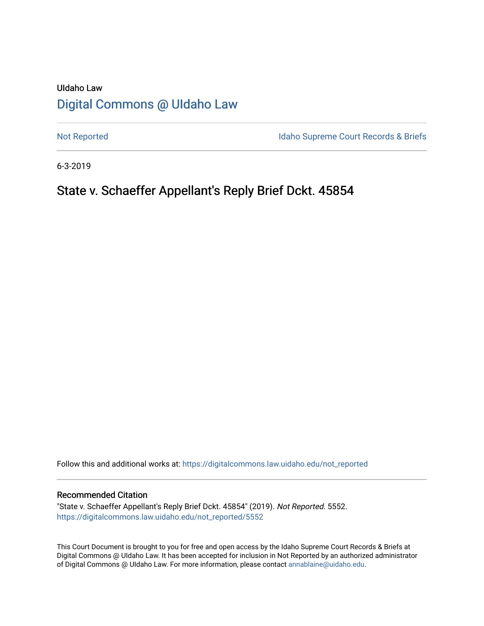# UIdaho Law [Digital Commons @ UIdaho Law](https://digitalcommons.law.uidaho.edu/)

[Not Reported](https://digitalcommons.law.uidaho.edu/not_reported) **Idaho Supreme Court Records & Briefs** 

6-3-2019

# State v. Schaeffer Appellant's Reply Brief Dckt. 45854

Follow this and additional works at: [https://digitalcommons.law.uidaho.edu/not\\_reported](https://digitalcommons.law.uidaho.edu/not_reported?utm_source=digitalcommons.law.uidaho.edu%2Fnot_reported%2F5552&utm_medium=PDF&utm_campaign=PDFCoverPages) 

#### Recommended Citation

"State v. Schaeffer Appellant's Reply Brief Dckt. 45854" (2019). Not Reported. 5552. [https://digitalcommons.law.uidaho.edu/not\\_reported/5552](https://digitalcommons.law.uidaho.edu/not_reported/5552?utm_source=digitalcommons.law.uidaho.edu%2Fnot_reported%2F5552&utm_medium=PDF&utm_campaign=PDFCoverPages)

This Court Document is brought to you for free and open access by the Idaho Supreme Court Records & Briefs at Digital Commons @ UIdaho Law. It has been accepted for inclusion in Not Reported by an authorized administrator of Digital Commons @ UIdaho Law. For more information, please contact [annablaine@uidaho.edu](mailto:annablaine@uidaho.edu).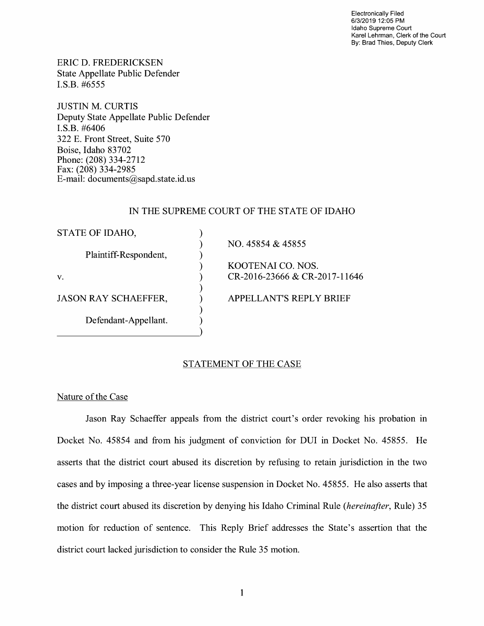Electronically Filed 6/3/2019 12:05 PM Idaho Supreme Court Karel Lehrman, Clerk of the Court By: Brad Thies, Deputy Clerk

ERIC D. FREDERICKSEN State Appellate Public Defender I.S.B. #6555

JUSTIN M. CURTIS Deputy State Appellate Public Defender **I.S.B.** #6406 322 E. Front Street, Suite 570 Boise, Idaho 83702 Phone: (208) 334-2712 Fax: (208) 334-2985 E-mail: documents@sapd.state.id. us

# IN THE SUPREME COURT OF THE STATE OF IDAHO

| STATE OF IDAHO,             |                                |
|-----------------------------|--------------------------------|
|                             | NO. 45854 & 45855              |
| Plaintiff-Respondent,       |                                |
|                             | KOOTENAI CO. NOS.              |
| V.                          | CR-2016-23666 & CR-2017-11646  |
| <b>JASON RAY SCHAEFFER,</b> | <b>APPELLANT'S REPLY BRIEF</b> |
| Defendant-Appellant.        |                                |

# STATEMENT OF THE CASE

# Nature of the Case

Jason Ray Schaeffer appeals from the district court's order revoking his probation in Docket No. 45854 and from his judgment of conviction for DUI in Docket No. 45855. He asserts that the district court abused its discretion by refusing to retain jurisdiction in the two cases and by imposing a three-year license suspension in Docket No. 45855. He also asserts that the district court abused its discretion by denying his Idaho Criminal Rule *(hereinafter,* Rule) 35 motion for reduction of sentence. This Reply Brief addresses the State's assertion that the district court lacked jurisdiction to consider the Rule 35 motion.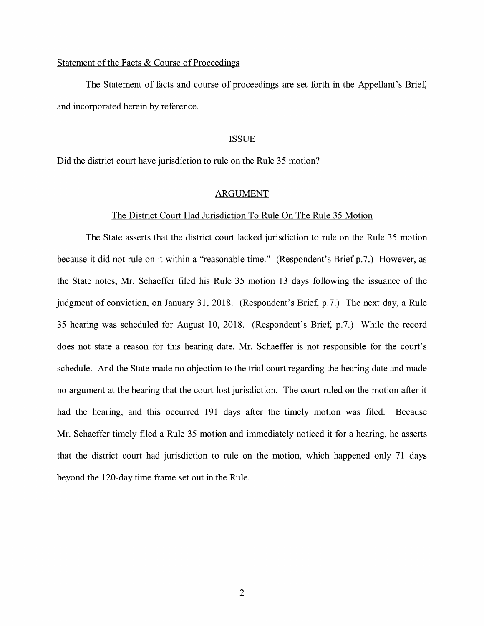# Statement of the Facts & Course of Proceedings

The Statement of facts and course of proceedings are set forth in the Appellant's Brief, and incorporated herein by reference.

#### **ISSUE**

Did the district court have jurisdiction to rule on the Rule 35 motion?

# ARGUMENT

#### The District Court Had Jurisdiction To Rule On The Rule 35 Motion

The State asserts that the district court lacked jurisdiction to rule on the Rule 35 motion because it did not rule on it within a "reasonable time." (Respondent's Brief p.7.) However, as the State notes, Mr. Schaeffer filed his Rule 35 motion 13 days following the issuance of the judgment of conviction, on January 31, 2018. (Respondent's Brief, p.7.) The next day, a Rule 35 hearing was scheduled for August 10, 2018. (Respondent's Brief, p.7.) While the record does not state a reason for this hearing date, Mr. Schaeffer is not responsible for the court's schedule. And the State made no objection to the trial court regarding the hearing date and made no argument at the hearing that the court lost jurisdiction. The court ruled on the motion after it had the hearing, and this occurred 191 days after the timely motion was filed. Because Mr. Schaeffer timely filed a Rule 35 motion and immediately noticed it for a hearing, he asserts that the district court had jurisdiction to rule on the motion, which happened only 71 days beyond the 120-day time frame set out in the Rule.